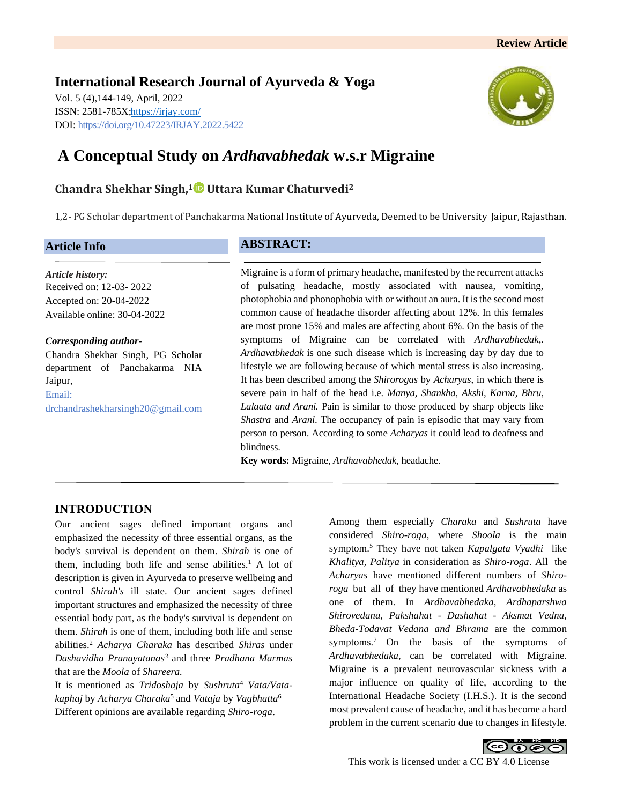**International Research Journal of Ayurveda & Yoga** Vol. 5 (4),144-149, April, 2022 ISSN: 2581-785X[; https://irjay.com/](https://irjay.com/) DOI: https://doi.org/10.47223/IRJAY.2022.5422



# **A Conceptual Study on** *Ardhavabhedak* **w.s.r Migraine**

# **Chandra Shekhar Singh, <sup>1</sup> Uttara Kumar Chaturvedi<sup>2</sup>**

1,2- PG Scholar department of Panchakarma National Institute of Ayurveda, Deemed to be University Jaipur, Rajasthan.

## **Article Info**

*Article history:* Received on: 12-03- 2022 Accepted on: 20-04-2022 Available online: 30-04-2022

*Corresponding author-*Chandra Shekhar Singh, PG Scholar department of Panchakarma NIA Jaipur, Email: drchandrashekharsingh20@gmail.com

## **ABSTRACT:**

Migraine is a form of primary headache, manifested by the recurrent attacks of pulsating headache, mostly associated with nausea, vomiting, photophobia and phonophobia with or without an aura. It is the second most common cause of headache disorder affecting about 12%. In this females are most prone 15% and males are affecting about 6%. On the basis of the symptoms of Migraine can be correlated with *Ardhavabhedak,*. *Ardhavabhedak* is one such disease which is increasing day by day due to lifestyle we are following because of which mental stress is also increasing. It has been described among the *Shirorogas* by *Acharyas*, in which there is severe pain in half of the head i.e. *Manya, Shankha, Akshi, Karna, Bhru, Lalaata and Arani.* Pain is similar to those produced by sharp objects like *Shastra* and *Arani*. The occupancy of pain is episodic that may vary from person to person. According to some *Acharyas* it could lead to deafness and blindness.

**Key words:** Migraine, *Ardhavabhedak*, headache.

# **INTRODUCTION**

Our ancient sages defined important organs and emphasized the necessity of three essential organs, as the body's survival is dependent on them. *Shirah* is one of them, including both life and sense abilities.<sup>1</sup> A lot of description is given in Ayurveda to preserve wellbeing and control *Shirah's* ill state. Our ancient sages defined important structures and emphasized the necessity of three essential body part, as the body's survival is dependent on them. *Shirah* is one of them, including both life and sense abilities.<sup>2</sup> *Acharya Charaka* has described *Shiras* under *Dashavidha Pranayatanas<sup>3</sup>* and three *Pradhana Marmas*  that are the *Moola* of *Shareera.* 

It is mentioned as *Tridoshaja* by *Sushruta*<sup>4</sup> *Vata/Vatakaphaj* by *Acharya Charaka*<sup>5</sup> and *Vataja* by *Vagbhatta*<sup>6</sup> Different opinions are available regarding *Shiro-roga*.

Among them especially *Charaka* and *Sushruta* have considered *Shiro-roga*, where *Shoola* is the main symptom.<sup>5</sup> They have not taken *Kapalgata Vyadhi* like *Khalitya, Palitya* in consideration as *Shiro-roga*. All the *Acharyas* have mentioned different numbers of *Shiroroga* but all of they have mentioned *Ardhavabhedaka* as one of them. In *Ardhavabhedaka, Ardhaparshwa Shirovedana, Pakshahat - Dashahat - Aksmat Vedna, Bheda-Todavat Vedana and Bhrama* are the common symptoms.<sup>7</sup> On the basis of the symptoms of *Ardhavabhedaka,* can be correlated with Migraine. Migraine is a prevalent neurovascular sickness with a major influence on quality of life, according to the International Headache Society (I.H.S.). It is the second most prevalent cause of headache, and it has become a hard problem in the current scenario due to changes in lifestyle.

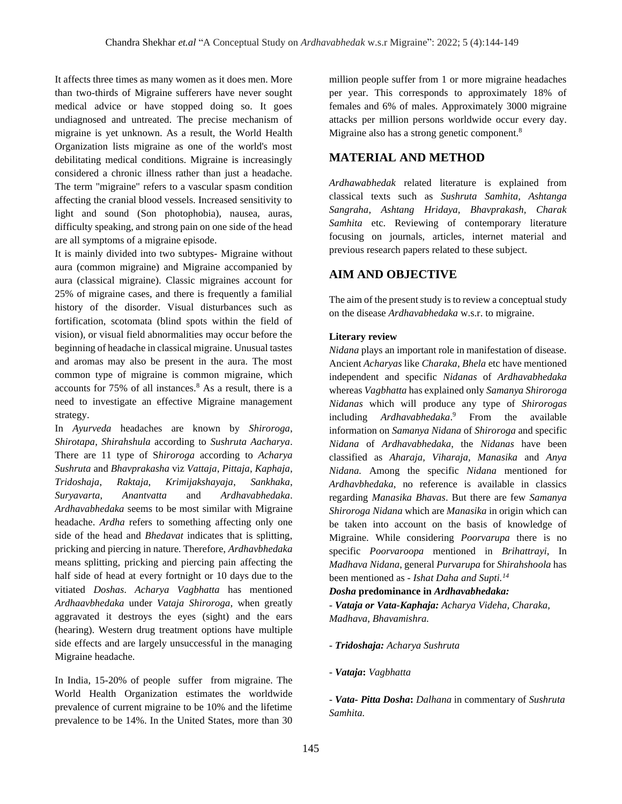It affects three times as many women as it does men. More than two-thirds of Migraine sufferers have never sought medical advice or have stopped doing so. It goes undiagnosed and untreated. The precise mechanism of migraine is yet unknown. As a result, the World Health Organization lists migraine as one of the world's most debilitating medical conditions. Migraine is increasingly considered a chronic illness rather than just a headache. The term "migraine" refers to a vascular spasm condition affecting the cranial blood vessels. Increased sensitivity to light and sound (Son photophobia), nausea, auras, difficulty speaking, and strong pain on one side of the head are all symptoms of a migraine episode.

It is mainly divided into two subtypes- Migraine without aura (common migraine) and Migraine accompanied by aura (classical migraine). Classic migraines account for 25% of migraine cases, and there is frequently a familial history of the disorder. Visual disturbances such as fortification, scotomata (blind spots within the field of vision), or visual field abnormalities may occur before the beginning of headache in classical migraine. Unusual tastes and aromas may also be present in the aura. The most common type of migraine is common migraine, which accounts for 75% of all instances.<sup>8</sup> As a result, there is a need to investigate an effective Migraine management strategy.

In *Ayurveda* headaches are known by *Shiroroga*, *Shirotapa*, *Shirahshula* according to *Sushruta Aacharya*. There are 11 type of S*hiroroga* according to *Acharya Sushruta* and *Bhavprakasha* viz *Vattaja*, *Pittaja*, *Kaphaja*, *Tridoshaja*, *Raktaja*, *Krimijakshayaja*, *Sankhaka*, *Suryavarta*, *Anantvatta* and *Ardhavabhedaka*. *Ardhavabhedaka* seems to be most similar with Migraine headache. *Ardha* refers to something affecting only one side of the head and *Bhedavat* indicates that is splitting, pricking and piercing in nature. Therefore, *Ardhavbhedaka*  means splitting, pricking and piercing pain affecting the half side of head at every fortnight or 10 days due to the vitiated *Doshas*. *Acharya Vagbhatta* has mentioned *Ardhaavbhedaka* under *Vataja Shiroroga*, when greatly aggravated it destroys the eyes (sight) and the ears (hearing). Western drug treatment options have multiple side effects and are largely unsuccessful in the managing Migraine headache.

In India, 15-20% of people suffer from migraine. The World Health Organization estimates the worldwide prevalence of current migraine to be 10% and the lifetime prevalence to be 14%. In the United States, more than 30

million people suffer from 1 or more migraine headaches per year. This corresponds to approximately 18% of females and 6% of males. Approximately 3000 migraine attacks per million persons worldwide occur every day. Migraine also has a strong genetic component.<sup>8</sup>

# **MATERIAL AND METHOD**

*Ardhawabhedak* related literature is explained from classical texts such as *Sushruta Samhita, Ashtanga Sangraha, Ashtang Hridaya, Bhavprakash, Charak Samhita* etc. Reviewing of contemporary literature focusing on journals, articles, internet material and previous research papers related to these subject.

# **AIM AND OBJECTIVE**

The aim of the present study is to review a conceptual study on the disease *Ardhavabhedaka* w.s.r. to migraine.

#### **Literary review**

*Nidana* plays an important role in manifestation of disease. Ancient *Acharyas* like *Charaka*, *Bhela* etc have mentioned independent and specific *Nidanas* of *Ardhavabhedaka*  whereas *Vagbhatta* has explained only *Samanya Shiroroga Nidanas* which will produce any type of *Shirorogas*  including *Ardhavabhedaka*. From the available information on *Samanya Nidana* of *Shiroroga* and specific *Nidana* of *Ardhavabhedaka*, the *Nidanas* have been classified as *Aharaja, Viharaja, Manasika* and *Anya Nidana.* Among the specific *Nidana* mentioned for *Ardhavbhedaka*, no reference is available in classics regarding *Manasika Bhavas*. But there are few *Samanya Shiroroga Nidana* which are *Manasika* in origin which can be taken into account on the basis of knowledge of Migraine. While considering *Poorvarupa* there is no specific *Poorvaroopa* mentioned in *Brihattrayi,* In *Madhava Nidana*, general *Purvarupa* for *Shirahshoola* has been mentioned as - *Ishat Daha and Supti.<sup>14</sup>*

#### *Dosha* **predominance in** *Ardhavabhedaka:*

- *Vataja or Vata-Kaphaja: Acharya Videha, Charaka, Madhava, Bhavamishra.* 

#### - *Tridoshaja: Acharya Sushruta*

- *Vataja***:** *Vagbhatta* 

- *Vata- Pitta Dosha***:** *Dalhana* in commentary of *Sushruta Samhita.*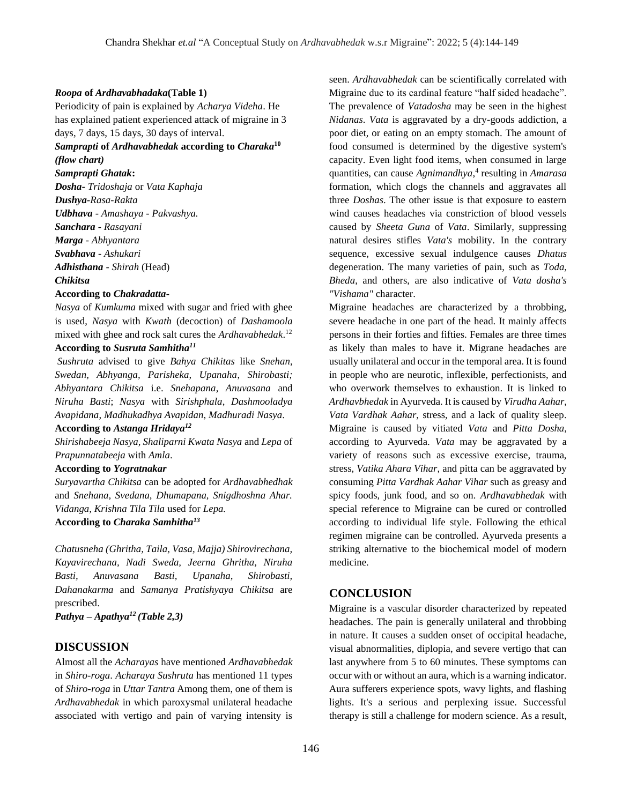#### *Roopa* **of** *Ardhavabhadaka***(Table 1)**

Periodicity of pain is explained by *Acharya Videha*. He has explained patient experienced attack of migraine in 3 days, 7 days, 15 days, 30 days of interval.

#### *Samprapti* **of** *Ardhavabhedak* **according to** *Charaka***<sup>10</sup>** *(flow chart)*

*Samprapti Ghatak***:** *Dosha- Tridoshaja* or *Vata Kaphaja Dushya-Rasa-Rakta Udbhava - Amashaya - Pakvashya. Sanchara - Rasayani Marga - Abhyantara Svabhava - Ashukari Adhisthana - Shirah* (Head) *Chikitsa*

#### **According to** *Chakradatta***-**

*Nasya* of *Kumkuma* mixed with sugar and fried with ghee is used, *Nasya* with *Kwath* (decoction) of *Dashamoola* mixed with ghee and rock salt cures the *Ardhavabhedak*. 12 **According to** *Susruta Samhitha<sup>11</sup>*

*Sushruta* advised to give *Bahya Chikitas* like *Snehan*, *Swedan, Abhyanga, Parisheka, Upanaha*, *Shirobasti; Abhyantara Chikitsa* i.e. *Snehapana*, *Anuvasana* and *Niruha Basti*; *Nasya* with *Sirishphala*, *Dashmooladya Avapidana*, *Madhukadhya Avapidan*, *Madhuradi Nasya*.

#### **According to** *Astanga Hridaya<sup>12</sup>*

*Shirishabeeja Nasya, Shaliparni Kwata Nasya* and *Lepa* of *Prapunnatabeeja* with *Amla*.

#### **According to** *Yogratnakar*

*Suryavartha Chikitsa* can be adopted for *Ardhavabhedhak* and *Snehana, Svedana, Dhumapana, Snigdhoshna Ahar. Vidanga, Krishna Tila Tila* used for *Lepa.* **According to** *Charaka Samhitha<sup>13</sup>*

*Chatusneha (Ghritha, Taila, Vasa, Majja) Shirovirechana, Kayavirechana, Nadi Sweda, Jeerna Ghritha, Niruha Basti, Anuvasana Basti, Upanaha, Shirobasti, Dahanakarma* and *Samanya Pratishyaya Chikitsa* are prescribed.

*Pathya – Apathya<sup>12</sup> (Table 2,3)*

# **DISCUSSION**

Almost all the *Acharayas* have mentioned *Ardhavabhedak*  in *Shiro-roga*. *Acharaya Sushruta* has mentioned 11 types of *Shiro*-*roga* in *Uttar Tantra* Among them, one of them is *Ardhavabhedak* in which paroxysmal unilateral headache associated with vertigo and pain of varying intensity is seen. *Ardhavabhedak* can be scientifically correlated with Migraine due to its cardinal feature "half sided headache". The prevalence of *Vatadosha* may be seen in the highest *Nidanas*. *Vata* is aggravated by a dry-goods addiction, a poor diet, or eating on an empty stomach. The amount of food consumed is determined by the digestive system's capacity. Even light food items, when consumed in large quantities, can cause *Agnimandhya*, 4 resulting in *Amarasa* formation, which clogs the channels and aggravates all three *Doshas*. The other issue is that exposure to eastern wind causes headaches via constriction of blood vessels caused by *Sheeta Guna* of *Vata*. Similarly, suppressing natural desires stifles *Vata's* mobility. In the contrary sequence, excessive sexual indulgence causes *Dhatus* degeneration. The many varieties of pain, such as *Toda*, *Bheda*, and others, are also indicative of *Vata dosha's "Vishama"* character.

Migraine headaches are characterized by a throbbing, severe headache in one part of the head. It mainly affects persons in their forties and fifties. Females are three times as likely than males to have it. Migrane headaches are usually unilateral and occur in the temporal area. It is found in people who are neurotic, inflexible, perfectionists, and who overwork themselves to exhaustion. It is linked to *Ardhavbhedak* in Ayurveda. It is caused by *Virudha Aahar*, *Vata Vardhak Aahar*, stress, and a lack of quality sleep. Migraine is caused by vitiated *Vata* and *Pitta Dosha*, according to Ayurveda. *Vata* may be aggravated by a variety of reasons such as excessive exercise, trauma, stress, *Vatika Ahara Vihar*, and pitta can be aggravated by consuming *Pitta Vardhak Aahar Vihar* such as greasy and spicy foods, junk food, and so on. *Ardhavabhedak* with special reference to Migraine can be cured or controlled according to individual life style. Following the ethical regimen migraine can be controlled. Ayurveda presents a striking alternative to the biochemical model of modern medicine.

## **CONCLUSION**

Migraine is a vascular disorder characterized by repeated headaches. The pain is generally unilateral and throbbing in nature. It causes a sudden onset of occipital headache, visual abnormalities, diplopia, and severe vertigo that can last anywhere from 5 to 60 minutes. These symptoms can occur with or without an aura, which is a warning indicator. Aura sufferers experience spots, wavy lights, and flashing lights. It's a serious and perplexing issue. Successful therapy is still a challenge for modern science. As a result,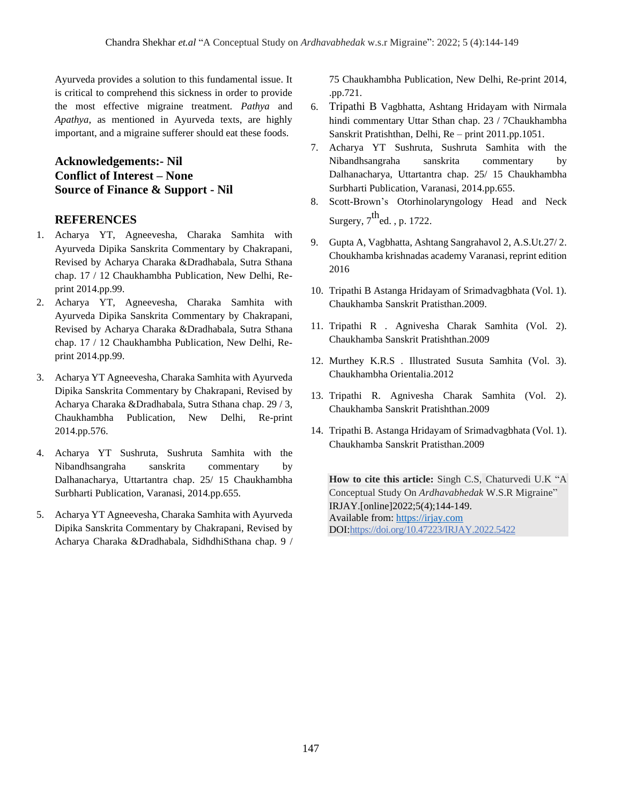Ayurveda provides a solution to this fundamental issue. It is critical to comprehend this sickness in order to provide the most effective migraine treatment. *Pathya* and *Apathya*, as mentioned in Ayurveda texts, are highly important, and a migraine sufferer should eat these foods.

# **Acknowledgements:- Nil Conflict of Interest – None Source of Finance & Support - Nil**

#### **REFERENCES**

- 1. Acharya YT, Agneevesha, Charaka Samhita with Ayurveda Dipika Sanskrita Commentary by Chakrapani, Revised by Acharya Charaka &Dradhabala, Sutra Sthana chap. 17 / 12 Chaukhambha Publication, New Delhi, Reprint 2014.pp.99.
- 2. Acharya YT, Agneevesha, Charaka Samhita with Ayurveda Dipika Sanskrita Commentary by Chakrapani, Revised by Acharya Charaka &Dradhabala, Sutra Sthana chap. 17 / 12 Chaukhambha Publication, New Delhi, Reprint 2014.pp.99.
- 3. Acharya YT Agneevesha, Charaka Samhita with Ayurveda Dipika Sanskrita Commentary by Chakrapani, Revised by Acharya Charaka &Dradhabala, Sutra Sthana chap. 29 / 3, Chaukhambha Publication, New Delhi, Re-print 2014.pp.576.
- 4. Acharya YT Sushruta, Sushruta Samhita with the Nibandhsangraha sanskrita commentary by Dalhanacharya, Uttartantra chap. 25/ 15 Chaukhambha Surbharti Publication, Varanasi, 2014.pp.655.
- 5. Acharya YT Agneevesha, Charaka Samhita with Ayurveda Dipika Sanskrita Commentary by Chakrapani, Revised by Acharya Charaka &Dradhabala, SidhdhiSthana chap. 9 /

75 Chaukhambha Publication, New Delhi, Re-print 2014, .pp.721.

- 6. Tripathi B Vagbhatta, Ashtang Hridayam with Nirmala hindi commentary Uttar Sthan chap. 23 / 7Chaukhambha Sanskrit Pratishthan, Delhi, Re – print 2011.pp.1051.
- 7. Acharya YT Sushruta, Sushruta Samhita with the Nibandhsangraha sanskrita commentary by Dalhanacharya, Uttartantra chap. 25/ 15 Chaukhambha Surbharti Publication, Varanasi, 2014.pp.655.
- 8. Scott-Brown's Otorhinolaryngology Head and Neck Surgery,  $7^{\text{th}}$ ed. , p. 1722.
- 9. Gupta A, Vagbhatta, Ashtang Sangrahavol 2, A.S.Ut.27/ 2. Choukhamba krishnadas academy Varanasi, reprint edition 2016
- 10. Tripathi B Astanga Hridayam of Srimadvagbhata (Vol. 1). Chaukhamba Sanskrit Pratisthan.2009.
- 11. Tripathi R . Agnivesha Charak Samhita (Vol. 2). Chaukhamba Sanskrit Pratishthan.2009
- 12. Murthey K.R.S . Illustrated Susuta Samhita (Vol. 3). Chaukhambha Orientalia.2012
- 13. Tripathi R. Agnivesha Charak Samhita (Vol. 2). Chaukhamba Sanskrit Pratishthan.2009
- 14. Tripathi B. Astanga Hridayam of Srimadvagbhata (Vol. 1). Chaukhamba Sanskrit Pratisthan.2009

**How to cite this article:** Singh C.S, Chaturvedi U.K "A Conceptual Study On *Ardhavabhedak* W.S.R Migraine" IRJAY.[online]2022;5(4);144-149. Available from: [https://irjay.com](https://irjay.com/) DOI:https://doi.org/10.47223/IRJAY.2022.5422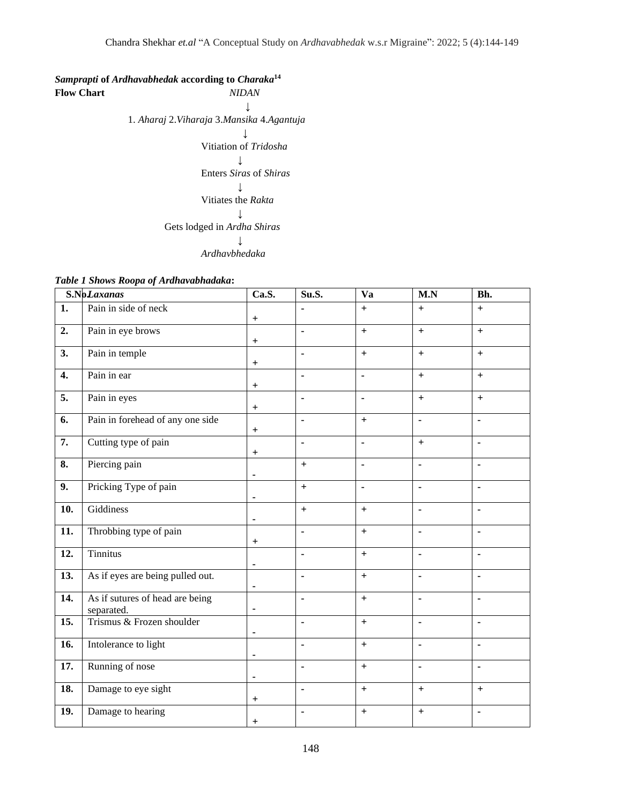# *Samprapti* **of** *Ardhavabhedak* **according to** *Charaka***<sup>14</sup>**

**Flow Chart** *NIDAN*  ↓ 1. *Aharaj* 2.*Viharaja* 3.*Mansika* 4.*Agantuja*  ↓ Vitiation of *Tridosha* ↓ Enters *Siras* of *Shiras* ↓ Vitiates the *Rakta* ↓ Gets lodged in *Ardha Shiras* ↓ *Ardhavbhedaka* 

|  | Table 1 Shows Roopa of Ardhavabhadaka: |  |  |
|--|----------------------------------------|--|--|
|--|----------------------------------------|--|--|

|                   | S.NoLaxanas                                   | Ca.S.                            | Su.S.          | Va             | M.N        | Bh.                          |  |
|-------------------|-----------------------------------------------|----------------------------------|----------------|----------------|------------|------------------------------|--|
| 1.                | Pain in side of neck                          | $\begin{array}{c} + \end{array}$ |                | $\ddot{}$      | $\pm$      | $\ddot{}$                    |  |
| 2.                | Pain in eye brows                             | $\mathrm{+}$                     | ä,             | $\ddot{}$      | $\ddot{}$  | $+$                          |  |
| 3.                | Pain in temple                                | $\begin{array}{c} + \end{array}$ | ä,             | $+$            | $\ddot{+}$ | $\ddot{}$                    |  |
| 4.                | Pain in ear                                   | $+$                              | $\blacksquare$ | ä,             | $\pm$      | $+$                          |  |
| 5.                | Pain in eyes                                  | $+$                              |                | ä,             | $\ddot{}$  | $+$                          |  |
| 6.                | Pain in forehead of any one side              | $+$                              | $\blacksquare$ | $+$            | ä,         | $\blacksquare$               |  |
| $\overline{7}$ .  | Cutting type of pain                          | $\boldsymbol{+}$                 | ä,             | $\blacksquare$ | $\pm$      | $\blacksquare$               |  |
| 8.                | Piercing pain                                 | $\blacksquare$                   | $\ddot{}$      | $\blacksquare$ | ä,         | $\blacksquare$               |  |
| 9.                | Pricking Type of pain                         |                                  | $+$            | Ĭ.             | L,         | $\overline{a}$               |  |
| $\overline{10}$ . | Giddiness                                     | $\blacksquare$                   | $+$            | $+$            | ä,         | ä,                           |  |
| 11.               | Throbbing type of pain                        | $\ddot{}$                        | ä,             | $+$            | ÷,         | $\blacksquare$               |  |
| 12.               | <b>Tinnitus</b>                               | $\blacksquare$                   | $\blacksquare$ | $+$            | ä,         | $\blacksquare$               |  |
| 13.               | As if eyes are being pulled out.              | $\blacksquare$                   | $\blacksquare$ | $+$            | ä,         | $\blacksquare$               |  |
| $\overline{14}$ . | As if sutures of head are being<br>separated. | $\blacksquare$                   | Ĭ.             | $+$            | ä,         | ä,                           |  |
| 15.               | Trismus & Frozen shoulder                     | $\overline{\phantom{a}}$         |                | $+$            | ä,         | L,                           |  |
| 16.               | Intolerance to light                          | $\blacksquare$                   |                | $\ddot{}$      | ä,         |                              |  |
| 17.               | Running of nose                               | $\blacksquare$                   | ä,             | $+$            | L,         | ä,                           |  |
| 18.               | Damage to eye sight                           | $+$                              | $\blacksquare$ | $+$            | $+$        | $+$                          |  |
| 19.               | Damage to hearing                             | $\,{}^+$                         | ٠              | $\ddot{}$      | $+$        | $\qquad \qquad \blacksquare$ |  |